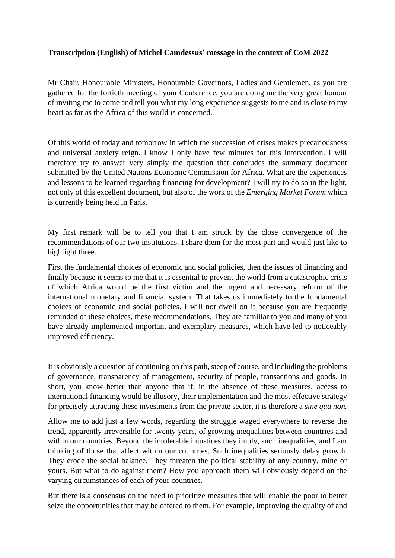## **Transcription (English) of Michel Camdessus' message in the context of CoM 2022**

Mr Chair, Honourable Ministers, Honourable Governors, Ladies and Gentlemen, as you are gathered for the fortieth meeting of your Conference, you are doing me the very great honour of inviting me to come and tell you what my long experience suggests to me and is close to my heart as far as the Africa of this world is concerned.

Of this world of today and tomorrow in which the succession of crises makes precariousness and universal anxiety reign. I know I only have few minutes for this intervention. I will therefore try to answer very simply the question that concludes the summary document submitted by the United Nations Economic Commission for Africa. What are the experiences and lessons to be learned regarding financing for development? I will try to do so in the light, not only of this excellent document, but also of the work of the *Emerging Market Forum* which is currently being held in Paris.

My first remark will be to tell you that I am struck by the close convergence of the recommendations of our two institutions. I share them for the most part and would just like to highlight three.

First the fundamental choices of economic and social policies, then the issues of financing and finally because it seems to me that it is essential to prevent the world from a catastrophic crisis of which Africa would be the first victim and the urgent and necessary reform of the international monetary and financial system. That takes us immediately to the fundamental choices of economic and social policies. I will not dwell on it because you are frequently reminded of these choices, these recommendations. They are familiar to you and many of you have already implemented important and exemplary measures, which have led to noticeably improved efficiency.

It is obviously a question of continuing on this path, steep of course, and including the problems of governance, transparency of management, security of people, transactions and goods. In short, you know better than anyone that if, in the absence of these measures, access to international financing would be illusory, their implementation and the most effective strategy for precisely attracting these investments from the private sector, it is therefore a *sine qua non.*

Allow me to add just a few words, regarding the struggle waged everywhere to reverse the trend, apparently irreversible for twenty years, of growing inequalities between countries and within our countries. Beyond the intolerable injustices they imply, such inequalities, and I am thinking of those that affect within our countries. Such inequalities seriously delay growth. They erode the social balance. They threaten the political stability of any country, mine or yours. But what to do against them? How you approach them will obviously depend on the varying circumstances of each of your countries.

But there is a consensus on the need to prioritize measures that will enable the poor to better seize the opportunities that may be offered to them. For example, improving the quality of and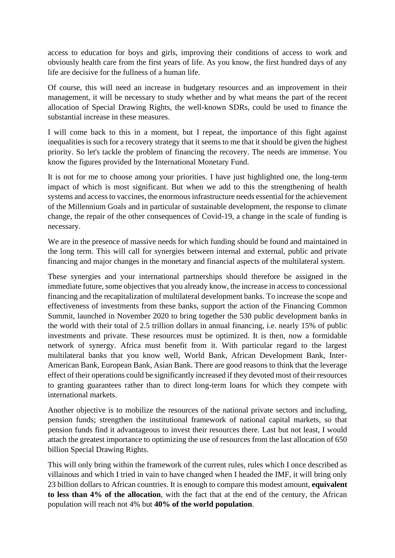access to education for boys and girls, improving their conditions of access to work and obviously health care from the first years of life. As you know, the first hundred days of any life are decisive for the fullness of a human life.

Of course, this will need an increase in budgetary resources and an improvement in their management, it will be necessary to study whether and by what means the part of the recent allocation of Special Drawing Rights, the well-known SDRs, could be used to finance the substantial increase in these measures.

I will come back to this in a moment, but I repeat, the importance of this fight against inequalities is such for a recovery strategy that it seems to me that it should be given the highest priority. So let's tackle the problem of financing the recovery. The needs are immense. You know the figures provided by the International Monetary Fund.

It is not for me to choose among your priorities. I have just highlighted one, the long-term impact of which is most significant. But when we add to this the strengthening of health systems and access to vaccines, the enormous infrastructure needs essential for the achievement of the Millennium Goals and in particular of sustainable development, the response to climate change, the repair of the other consequences of Covid-19, a change in the scale of funding is necessary.

We are in the presence of massive needs for which funding should be found and maintained in the long term. This will call for synergies between internal and external, public and private financing and major changes in the monetary and financial aspects of the multilateral system.

These synergies and your international partnerships should therefore be assigned in the immediate future, some objectives that you already know, the increase in access to concessional financing and the recapitalization of multilateral development banks. To increase the scope and effectiveness of investments from these banks, support the action of the Financing Common Summit, launched in November 2020 to bring together the 530 public development banks in the world with their total of 2.5 trillion dollars in annual financing, i.e. nearly 15% of public investments and private. These resources must be optimized. It is then, now a formidable network of synergy. Africa must benefit from it. With particular regard to the largest multilateral banks that you know well, World Bank, African Development Bank, Inter-American Bank, European Bank, Asian Bank. There are good reasons to think that the leverage effect of their operations could be significantly increased if they devoted most of their resources to granting guarantees rather than to direct long-term loans for which they compete with international markets.

Another objective is to mobilize the resources of the national private sectors and including, pension funds; strengthen the institutional framework of national capital markets, so that pension funds find it advantageous to invest their resources there. Last but not least, I would attach the greatest importance to optimizing the use of resources from the last allocation of 650 billion Special Drawing Rights.

This will only bring within the framework of the current rules, rules which I once described as villainous and which I tried in vain to have changed when I headed the IMF, it will bring only 23 billion dollars to African countries. It is enough to compare this modest amount, **equivalent to less than 4% of the allocation**, with the fact that at the end of the century, the African population will reach not 4% but **40% of the world population**.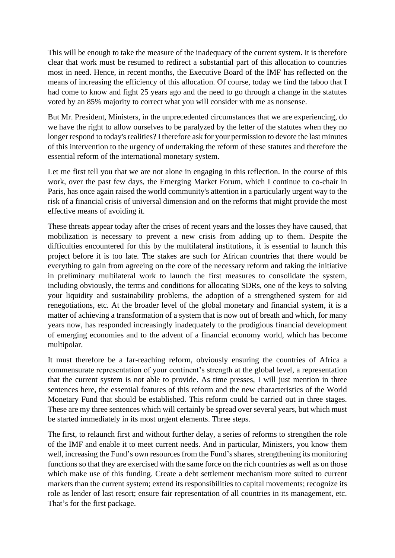This will be enough to take the measure of the inadequacy of the current system. It is therefore clear that work must be resumed to redirect a substantial part of this allocation to countries most in need. Hence, in recent months, the Executive Board of the IMF has reflected on the means of increasing the efficiency of this allocation. Of course, today we find the taboo that I had come to know and fight 25 years ago and the need to go through a change in the statutes voted by an 85% majority to correct what you will consider with me as nonsense.

But Mr. President, Ministers, in the unprecedented circumstances that we are experiencing, do we have the right to allow ourselves to be paralyzed by the letter of the statutes when they no longer respond to today's realities? I therefore ask for your permission to devote the last minutes of this intervention to the urgency of undertaking the reform of these statutes and therefore the essential reform of the international monetary system.

Let me first tell you that we are not alone in engaging in this reflection. In the course of this work, over the past few days, the Emerging Market Forum, which I continue to co-chair in Paris, has once again raised the world community's attention in a particularly urgent way to the risk of a financial crisis of universal dimension and on the reforms that might provide the most effective means of avoiding it.

These threats appear today after the crises of recent years and the losses they have caused, that mobilization is necessary to prevent a new crisis from adding up to them. Despite the difficulties encountered for this by the multilateral institutions, it is essential to launch this project before it is too late. The stakes are such for African countries that there would be everything to gain from agreeing on the core of the necessary reform and taking the initiative in preliminary multilateral work to launch the first measures to consolidate the system, including obviously, the terms and conditions for allocating SDRs, one of the keys to solving your liquidity and sustainability problems, the adoption of a strengthened system for aid renegotiations, etc. At the broader level of the global monetary and financial system, it is a matter of achieving a transformation of a system that is now out of breath and which, for many years now, has responded increasingly inadequately to the prodigious financial development of emerging economies and to the advent of a financial economy world, which has become multipolar.

It must therefore be a far-reaching reform, obviously ensuring the countries of Africa a commensurate representation of your continent's strength at the global level, a representation that the current system is not able to provide. As time presses, I will just mention in three sentences here, the essential features of this reform and the new characteristics of the World Monetary Fund that should be established. This reform could be carried out in three stages. These are my three sentences which will certainly be spread over several years, but which must be started immediately in its most urgent elements. Three steps.

The first, to relaunch first and without further delay, a series of reforms to strengthen the role of the IMF and enable it to meet current needs. And in particular, Ministers, you know them well, increasing the Fund's own resources from the Fund's shares, strengthening its monitoring functions so that they are exercised with the same force on the rich countries as well as on those which make use of this funding. Create a debt settlement mechanism more suited to current markets than the current system; extend its responsibilities to capital movements; recognize its role as lender of last resort; ensure fair representation of all countries in its management, etc. That's for the first package.